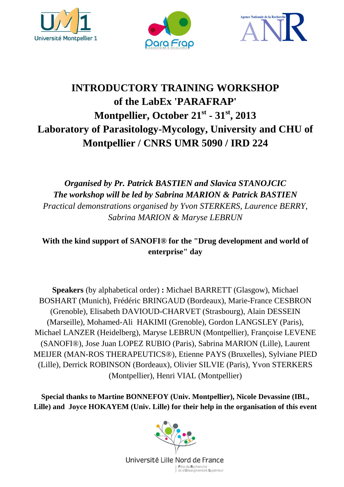





# **INTRODUCTORY TRAINING WORKSHOP of the LabEx 'PARAFRAP' Montpellier, October 21st - 31st, 2013 Laboratory of Parasitology-Mycology, University and CHU of Montpellier / CNRS UMR 5090 / IRD 224**

## *Organised by Pr. Patrick BASTIEN and Slavica STANOJCIC The workshop will be led by Sabrina MARION & Patrick BASTIEN Practical demonstrations organised by Yvon STERKERS, Laurence BERRY, Sabrina MARION & Maryse LEBRUN*

**With the kind support of SANOFI® for the "Drug development and world of enterprise" day** 

**Speakers** (by alphabetical order) **:** Michael BARRETT (Glasgow), Michael BOSHART (Munich), Frédéric BRINGAUD (Bordeaux), Marie-France CESBRON (Grenoble), Elisabeth DAVIOUD-CHARVET (Strasbourg), Alain DESSEIN (Marseille), Mohamed-Ali HAKIMI (Grenoble), Gordon LANGSLEY (Paris), Michael LANZER (Heidelberg), Maryse LEBRUN (Montpellier), Françoise LEVENE (SANOFI®), Jose Juan LOPEZ RUBIO (Paris), Sabrina MARION (Lille), Laurent MEIJER (MAN-ROS THERAPEUTICS®), Etienne PAYS (Bruxelles), Sylviane PIED (Lille), Derrick ROBINSON (Bordeaux), Olivier SILVIE (Paris), Yvon STERKERS (Montpellier), Henri VIAL (Montpellier)

**Special thanks to Martine BONNEFOY (Univ. Montpellier), Nicole Devassine (IBL, Lille) and Joyce HOKAYEM (Univ. Lille) for their help in the organisation of this event** 

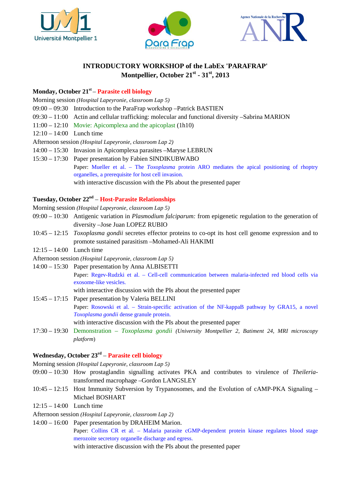





### **INTRODUCTORY WORKSHOP of the LabEx 'PARAFRAP' Montpellier, October 21st - 31st, 2013**

#### **Monday, October 21st**  – **Parasite cell biology**

Morning session *(Hospital Lapeyronie, classroom Lap 5)* 09:00 – 09:30 Introduction to the ParaFrap workshop –Patrick BASTIEN 09:30 – 11:00 Actin and cellular trafficking: molecular and functional diversity –Sabrina MARION 11:00 – 12:10 Movie: Apicomplexa and the apicoplast (1h10) 12:10 – 14:00 Lunch time Afternoon session *(Hospital Lapeyronie, classroom Lap 2)* 14:00 – 15:30 Invasion in Apicomplexa parasites –Maryse LEBRUN 15:30 – 17:30 Paper presentation by Fabien SINDIKUBWABO Paper: Mueller et al. – The *Toxoplasma* protein ARO mediates the apical positioning of rhoptry organelles, a prerequisite for host cell invasion. with interactive discussion with the PIs about the presented paper

#### **Tuesday, October 22nd** – **Host-Parasite Relationships**

Morning session *(Hospital Lapeyronie, classroom Lap 5)*

- 09:00 10:30 Antigenic variation in *Plasmodium falciparum:* from epigenetic regulation to the generation of diversity –Jose Juan LOPEZ RUBIO
- 10:45 12:15 *Toxoplasma gondii* secretes effector proteins to co-opt its host cell genome expression and to promote sustained parasitism –Mohamed-Ali HAKIMI
- 12:15 14:00 Lunch time
- Afternoon session *(Hospital Lapeyronie, classroom Lap 5)*
- 14:00 15:30 Paper presentation by Anna ALBISETTI

Paper: Regev-Rudzki et al. – Cell-cell communication between malaria-infected red blood cells via exosome-like vesicles.

with interactive discussion with the PIs about the presented paper

- 15:45 17:15 Paper presentation by Valeria BELLINI Paper: Rosowski et al. – Strain-specific activation of the NF-kappaB pathway by GRA15, a novel *Toxoplasma gondii* dense granule protein. with interactive discussion with the PIs about the presented paper
- 17:30 19:30 Demonstration *Toxoplasma gondii (University Montpellier 2, Batiment 24, MRI microscopy platform*)

#### **Wednesday, October 23rd** – **Parasite cell biology**

Morning session *(Hospital Lapeyronie, classroom Lap 5)*

- 09:00 10:30 How prostaglandin signalling activates PKA and contributes to virulence of *Theileria*transformed macrophage –Gordon LANGSLEY
- 10:45 12:15 Host Immunity Subversion by Trypanosomes, and the Evolution of cAMP-PKA Signaling Michael BOSHART
- 12:15 14:00 Lunch time
- Afternoon session *(Hospital Lapeyronie, classroom Lap 2)*
- 14:00 16:00 Paper presentation by DRAHEIM Marion. Paper: Collins CR et al. – Malaria parasite cGMP-dependent protein kinase regulates blood stage merozoite secretory organelle discharge and egress. with interactive discussion with the PIs about the presented paper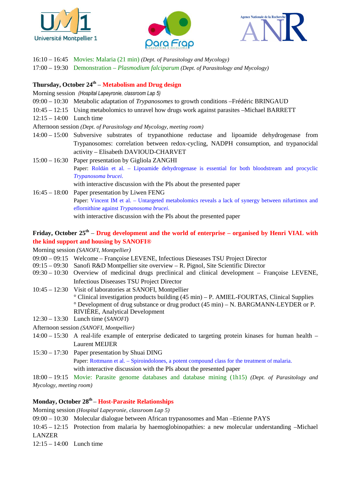





16:10 – 16:45 Movies: Malaria (21 min) *(Dept. of Parasitology and Mycology)* 

17:00 – 19:30 Demonstration – *Plasmodium falciparum (Dept. of Parasitology and Mycology)*

#### **Thursday, October 24th** – **Metabolism and Drug design**

Morning session *(Hospital Lapeyronie, classroom Lap 5)*

- 09:00 10:30 Metabolic adaptation of *Trypanosomes* to growth conditions –Frédéric BRINGAUD
- 10:45 12:15 Using metabolomics to unravel how drugs work against parasites –Michael BARRETT
- 12:15 14:00 Lunch time

Afternoon session *(Dept. of Parasitology and Mycology, meeting room)*

- 14:00 15:00 Subversive substrates of trypanothione reductase and lipoamide dehydrogenase from Trypanosomes: correlation between redox-cycling, NADPH consumption, and trypanocidal activity – Elisabeth DAVIOUD-CHARVET
- 15:00 16:30 Paper presentation by Gigliola ZANGHI Paper: Roldán et al. – Lipoamide dehydrogenase is essential for both bloodstream and procyclic *Trypanosoma brucei*. with interactive discussion with the PIs about the presented paper
- 16:45 18:00 Paper presentation by Liwen FENG Paper: Vincent IM et al. – Untargeted metabolomics reveals a lack of synergy between nifurtimox and eflornithine against *Trypanosoma brucei*. with interactive discussion with the PIs about the presented paper

#### **Friday, October 25th** – **Drug development and the world of enterprise – organised by Henri VIAL with the kind support and housing by SANOFI®**

Morning session *(SANOFI, Montpellier)*

- 09:00 09:15 Welcome Françoise LEVENE, Infectious Dieseases TSU Project Director
- 09:15 09:30 Sanofi R&D Montpellier site overview R. Pignol, Site Scientific Director
- 09:30 10:30 Overview of medicinal drugs preclinical and clinical development Françoise LEVENE, Infectious Diseeases TSU Project Director
- 10:45 12:30 Visit of laboratories at SANOFI, Montpellier ° Clinical investigation products building (45 min) – P. AMIEL-FOURTAS, Clinical Supplies ° Development of drug substance or drug product (45 min) – N. BARGMANN-LEYDER or P. RIVIÈRE, Analytical Development
- 12:30 13:30 Lunch time (*SANOFI*)

Afternoon session *(SANOFI, Montpellier)*

- 14:00 15:30 A real-life example of enterprise dedicated to targeting protein kinases for human health Laurent MEIJER
- 15:30 17:30 Paper presentation by Shuai DING Paper: Rottmann et al. – Spiroindolones, a potent compound class for the treatment of malaria. with interactive discussion with the PIs about the presented paper

18:00 – 19:15 Movie: Parasite genome databases and database mining (1h15) *(Dept. of Parasitology and Mycology, meeting room)*

#### **Monday, October 28th**  – **Host-Parasite Relationships**

Morning session *(Hospital Lapeyronie, classroom Lap 5)*

09:00 – 10:30 Molecular dialogue between African trypanosomes and Man –Etienne PAYS

10:45 – 12:15 Protection from malaria by haemoglobinopathies: a new molecular understanding –Michael LANZER

12:15 – 14:00 Lunch time